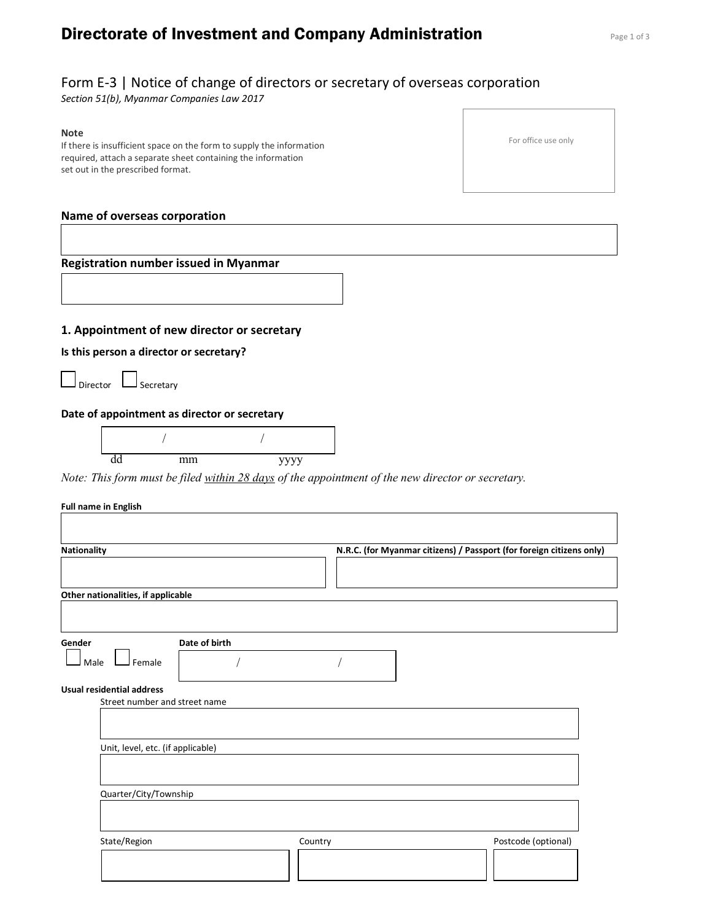# **Directorate of Investment and Company Administration** Page 1 of 3

# Form E-3 | Notice of change of directors or secretary of overseas corporation

Section 51(b), Myanmar Companies Law 2017

#### Note

If there is insufficient space on the form to supply the information required, attach a separate sheet containing the information set out in the prescribed format.

## Name of overseas corporation

## Registration number issued in Myanmar

## 1. Appointment of new director or secretary

Is this person a director or secretary?

 $\Box$  Director  $\Box$  Secretary

### Date of appointment as director or secretary



Note: This form must be filed within 28 days of the appointment of the new director or secretary.

#### Full name in English

| Nationality                        |               |         | N.R.C. (for Myanmar citizens) / Passport (for foreign citizens only) |  |
|------------------------------------|---------------|---------|----------------------------------------------------------------------|--|
| Other nationalities, if applicable |               |         |                                                                      |  |
| Gender                             | Date of birth |         |                                                                      |  |
| Female<br>Male                     |               |         |                                                                      |  |
| <b>Usual residential address</b>   |               |         |                                                                      |  |
| Street number and street name      |               |         |                                                                      |  |
| Unit, level, etc. (if applicable)  |               |         |                                                                      |  |
| Quarter/City/Township              |               |         |                                                                      |  |
|                                    |               |         |                                                                      |  |
| State/Region                       |               | Country | Postcode (optional)                                                  |  |
|                                    |               |         |                                                                      |  |

For office use only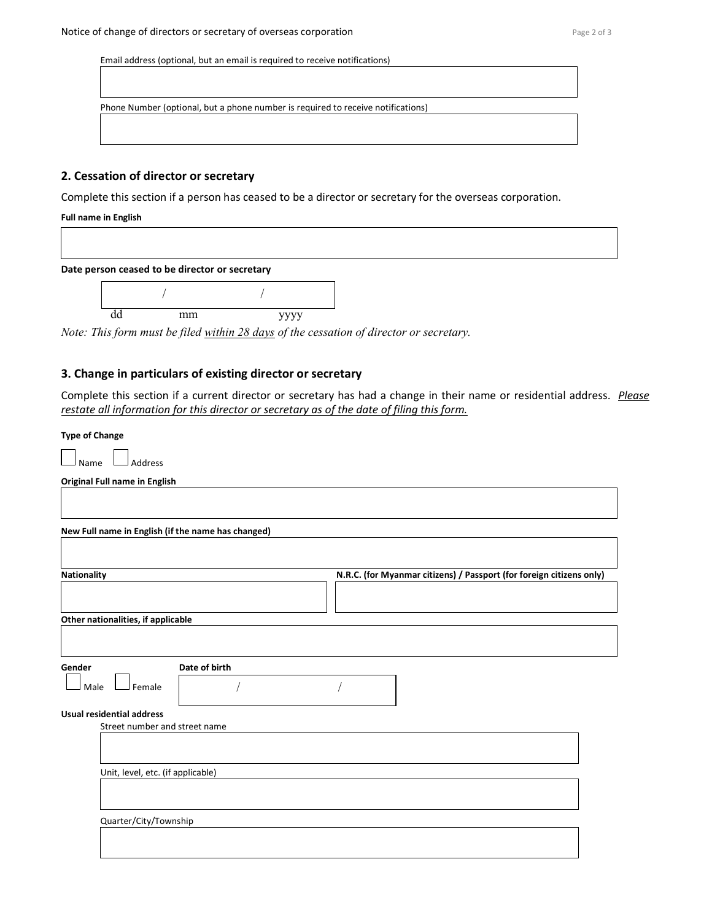Email address (optional, but an email is required to receive notifications)

Phone Number (optional, but a phone number is required to receive notifications)

### 2. Cessation of director or secretary

Complete this section if a person has ceased to be a director or secretary for the overseas corporation.

#### Full name in English

Date person ceased to be director or secretary



Note: This form must be filed within 28 days of the cessation of director or secretary.

## 3. Change in particulars of existing director or secretary

Complete this section if a current director or secretary has had a change in their name or residential address. Please restate all information for this director or secretary as of the date of filing this form.

### Type of Change

| Name | . Address |
|------|-----------|

Original Full name in English

| N.R.C. (for Myanmar citizens) / Passport (for foreign citizens only) |
|----------------------------------------------------------------------|
|                                                                      |
|                                                                      |
|                                                                      |
|                                                                      |
|                                                                      |
|                                                                      |
|                                                                      |
|                                                                      |